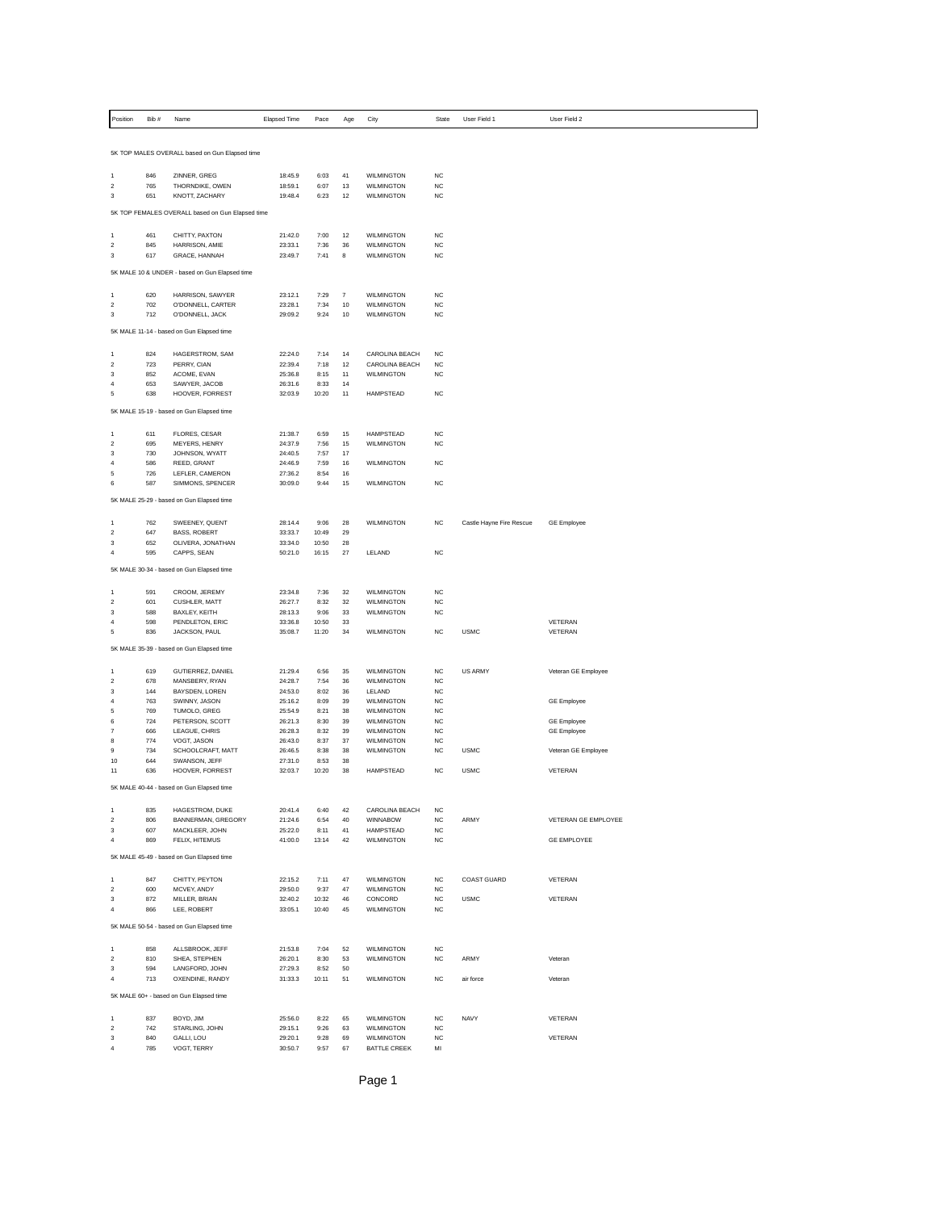| Position            | Bib#       | Name                                             | <b>Elapsed Time</b> | Pace          | Age                     | City                                     | State                  | User Field 1             | User Field 2        |
|---------------------|------------|--------------------------------------------------|---------------------|---------------|-------------------------|------------------------------------------|------------------------|--------------------------|---------------------|
|                     |            |                                                  |                     |               |                         |                                          |                        |                          |                     |
|                     |            | 5K TOP MALES OVERALL based on Gun Elapsed time   |                     |               |                         |                                          |                        |                          |                     |
|                     |            |                                                  |                     |               |                         |                                          |                        |                          |                     |
| 1<br>$\mathbf 2$    | 846<br>765 | ZINNER, GREG<br>THORNDIKE, OWEN                  | 18:45.9<br>18:59.1  | 6:03<br>6:07  | 41<br>13                | WII MINGTON<br>WILMINGTON                | <b>NC</b><br>NC        |                          |                     |
| 3                   | 651        | KNOTT, ZACHARY                                   | 19:48.4             | 6:23          | 12                      | <b>WILMINGTON</b>                        | <b>NC</b>              |                          |                     |
|                     |            | 5K TOP FEMALES OVERALL based on Gun Elapsed time |                     |               |                         |                                          |                        |                          |                     |
|                     |            |                                                  |                     |               |                         |                                          |                        |                          |                     |
| 1                   | 461        | CHITTY, PAXTON                                   | 21:42.0             | 7:00          | 12                      | <b>WILMINGTON</b>                        | <b>NC</b>              |                          |                     |
| $\overline{2}$<br>3 | 845<br>617 | HARRISON, AMIE<br>GRACE, HANNAH                  | 23:33.1<br>23:49.7  | 7:36<br>7:41  | 36<br>8                 | WILMINGTON<br>WILMINGTON                 | <b>NC</b><br><b>NC</b> |                          |                     |
|                     |            |                                                  |                     |               |                         |                                          |                        |                          |                     |
|                     |            | 5K MALE 10 & UNDER - based on Gun Elapsed time   |                     |               |                         |                                          |                        |                          |                     |
| 1                   | 620        | HARRISON, SAWYER                                 | 23:12.1             | 7:29          | $\overline{\mathbf{7}}$ | <b>WILMINGTON</b>                        | <b>NC</b>              |                          |                     |
| $\overline{2}$      | 702        | O'DONNELL, CARTER                                | 23:28.1             | 7:34          | 10                      | WILMINGTON                               | NC                     |                          |                     |
| 3                   | 712        | O'DONNELL, JACK                                  | 29:09.2             | 9:24          | 10                      | WILMINGTON                               | <b>NC</b>              |                          |                     |
|                     |            | 5K MALE 11-14 - based on Gun Elapsed time        |                     |               |                         |                                          |                        |                          |                     |
| 1                   | 824        | HAGERSTROM, SAM                                  | 22:24.0             | 7:14          | 14                      | CAROLINA BEACH                           | <b>NC</b>              |                          |                     |
| $\overline{2}$      | 723        | PERRY, CIAN                                      | 22:39.4             | 7:18          | 12                      | CAROLINA BEACH                           | <b>NC</b>              |                          |                     |
| 3                   | 852        | ACOME, EVAN                                      | 25:36.8             | 8:15          | 11                      | WILMINGTON                               | <b>NC</b>              |                          |                     |
| $\overline{4}$<br>5 | 653<br>638 | SAWYER, JACOB<br>HOOVER, FORREST                 | 26:31.6<br>32:03.9  | 8:33<br>10:20 | 14<br>11                | HAMPSTEAD                                | <b>NC</b>              |                          |                     |
|                     |            |                                                  |                     |               |                         |                                          |                        |                          |                     |
|                     |            | 5K MALE 15-19 - based on Gun Elapsed time        |                     |               |                         |                                          |                        |                          |                     |
| 1                   | 611        | FLORES, CESAR                                    | 21:38.7             | 6:59          | 15                      | HAMPSTEAD                                | NC                     |                          |                     |
| $\bar{z}$           | 695        | MEYERS, HENRY                                    | 24:37.9             | 7:56          | 15                      | <b>WILMINGTON</b>                        | <b>NC</b>              |                          |                     |
| 3<br>4              | 730<br>586 | JOHNSON, WYATT<br>REED, GRANT                    | 24:40.5<br>24:46.9  | 7:57<br>7:59  | 17<br>16                | WILMINGTON                               | NC                     |                          |                     |
| 5                   | 726        | LEFLER, CAMERON                                  | 27:36.2             | 8:54          | 16                      |                                          |                        |                          |                     |
| 6                   | 587        | SIMMONS, SPENCER                                 | 30:09.0             | 9:44          | 15                      | <b>WILMINGTON</b>                        | <b>NC</b>              |                          |                     |
|                     |            | 5K MALE 25-29 - based on Gun Elapsed time        |                     |               |                         |                                          |                        |                          |                     |
|                     |            |                                                  |                     |               |                         |                                          |                        |                          |                     |
| 1<br>$\mathbf 2$    | 762<br>647 | SWEENEY, QUENT<br><b>BASS, ROBERT</b>            | 28:14.4<br>33:33.7  | 9:06<br>10:49 | 28<br>29                | WILMINGTON                               | <b>NC</b>              | Castle Hayne Fire Rescue | <b>GE Employee</b>  |
| 3                   | 652        | OLIVERA, JONATHAN                                | 33:34.0             | 10:50         | 28                      |                                          |                        |                          |                     |
| 4                   | 595        | CAPPS, SEAN                                      | 50:21.0             | 16:15         | 27                      | LELAND                                   | <b>NC</b>              |                          |                     |
|                     |            | 5K MALE 30-34 - based on Gun Elapsed time        |                     |               |                         |                                          |                        |                          |                     |
|                     |            |                                                  |                     |               |                         |                                          |                        |                          |                     |
| $\overline{1}$      | 591        | CROOM, JEREMY                                    | 23:34.8             | 7:36          | 32                      | <b>WILMINGTON</b>                        | <b>NC</b>              |                          |                     |
| $\bar{z}$<br>3      | 601<br>588 | CUSHLER, MATT<br>BAXLEY, KEITH                   | 26:27.7<br>28:13.3  | 8:32<br>9:06  | 32<br>33                | <b>WILMINGTON</b><br>WILMINGTON          | <b>NC</b><br>NC        |                          |                     |
| $\overline{4}$      | 598        | PENDLETON, ERIC                                  | 33:36.8             | 10:50         | 33                      |                                          |                        |                          | VETERAN             |
| 5                   | 836        | JACKSON, PAUL                                    | 35:08.7             | 11:20         | 34                      | <b>WILMINGTON</b>                        | <b>NC</b>              | <b>USMC</b>              | VETERAN             |
|                     |            | 5K MALE 35-39 - based on Gun Elapsed time        |                     |               |                         |                                          |                        |                          |                     |
|                     | 619        |                                                  |                     |               |                         | <b>WILMINGTON</b>                        | <b>NC</b>              | <b>US ARMY</b>           |                     |
| 1<br>$\mathbf 2$    | 678        | GUTIERREZ, DANIEL<br>MANSBERY, RYAN              | 21:29.4<br>24:28.7  | 6:56<br>7:54  | 35<br>36                | WILMINGTON                               | <b>NC</b>              |                          | Veteran GE Employee |
| 3                   | 144        | BAYSDEN, LOREN                                   | 24:53.0             | 8:02          | 36                      | LELAND                                   | <b>NC</b>              |                          |                     |
| 4                   | 763        | SWINNY, JASON                                    | 25:16.2             | 8:09          | 39                      | <b>WILMINGTON</b>                        | <b>NC</b>              |                          | <b>GE Employee</b>  |
| 5<br>6              | 769<br>724 | TUMOLO, GREG<br>PETERSON, SCOTT                  | 25:54.9<br>26:21.3  | 8:21<br>8:30  | 38<br>39                | <b>WILMINGTON</b><br><b>WILMINGTON</b>   | NC<br><b>NC</b>        |                          | <b>GE Employee</b>  |
| $\overline{7}$      | 666        | LEAGUE, CHRIS                                    | 26:28.3             | 8:32          | 39                      | <b>WILMINGTON</b>                        | <b>NC</b>              |                          | <b>GE Employee</b>  |
| 8                   | 774        | VOGT, JASON                                      | 26:43.0             | 8:37          | 37                      | WILMINGTON                               | NC                     |                          |                     |
| 9<br>10             | 734<br>644 | SCHOOLCRAFT, MATT<br>SWANSON, JEFF               | 26:46.5<br>27:31.0  | 8:38<br>8:53  | 38<br>38                | <b>WILMINGTON</b>                        | <b>NC</b>              | <b>USMC</b>              | Veteran GE Employee |
| 11                  | 636        | HOOVER, FORREST                                  | 32:03.7             | 10:20         | 38                      | HAMPSTEAD                                | <b>NC</b>              | <b>USMC</b>              | VETERAN             |
|                     |            | 5K MALE 40-44 - based on Gun Elapsed time        |                     |               |                         |                                          |                        |                          |                     |
|                     |            |                                                  |                     |               |                         |                                          |                        |                          |                     |
| $\overline{1}$      | 835        | HAGESTROM, DUKE                                  | 20:41.4             | 6:40          | 42                      | CAROLINA BEACH                           | <b>NC</b>              |                          |                     |
| $\bar{z}$<br>3      | 806<br>607 | BANNERMAN, GREGORY<br>MACKLEER, JOHN             | 21:24.6<br>25:22.0  | 6:54<br>8:11  | 40<br>41                | WINNABOW<br>HAMPSTEAD                    | <b>NC</b><br>NC        | ARMY                     | VETERAN GE EMPLOYEE |
| $\overline{4}$      | 869        | FELIX, HITEMUS                                   | 41:00.0             | 13:14         | 42                      | <b>WILMINGTON</b>                        | <b>NC</b>              |                          | GE EMPLOYEE         |
|                     |            | 5K MALE 45-49 - based on Gun Elapsed time        |                     |               |                         |                                          |                        |                          |                     |
|                     |            |                                                  |                     |               |                         |                                          |                        |                          |                     |
| $\mathbf{1}$        | 847        | CHITTY, PEYTON                                   | 22:15.2             | 7:11          | 47                      | <b>WILMINGTON</b>                        | <b>NC</b>              | <b>COAST GUARD</b>       | VETERAN             |
| $\mathbf 2$<br>3    | 600<br>872 | MCVEY, ANDY<br>MILLER, BRIAN                     | 29:50.0<br>32:40.2  | 9:37<br>10:32 | 47<br>46                | <b>WILMINGTON</b><br>CONCORD             | <b>NC</b><br>NC        | <b>USMC</b>              | VETERAN             |
| $\overline{4}$      | 866        | LEE, ROBERT                                      | 33:05.1             | 10:40         | 45                      | <b>WILMINGTON</b>                        | <b>NC</b>              |                          |                     |
|                     |            | 5K MALE 50-54 - based on Gun Elapsed time        |                     |               |                         |                                          |                        |                          |                     |
|                     |            |                                                  |                     |               |                         |                                          |                        |                          |                     |
| 1                   | 858        | ALLSBROOK, JEFF                                  | 21:53.8             | 7:04          | 52                      | WII MINGTON                              | <b>NC</b>              |                          |                     |
| $\mathbf 2$<br>3    | 810<br>594 | SHEA, STEPHEN<br>LANGFORD, JOHN                  | 26:20.1<br>27:29.3  | 8:30<br>8:52  | 53<br>50                | WILMINGTON                               | <b>NC</b>              | ARMY                     | Veteran             |
| $\overline{4}$      | 713        | OXENDINE, RANDY                                  | 31:33.3             | 10:11         | 51                      | WII MINGTON                              | <b>NC</b>              | air force                | Veteran             |
|                     |            | 5K MALE 60+ - based on Gun Elapsed time          |                     |               |                         |                                          |                        |                          |                     |
|                     |            |                                                  |                     |               |                         |                                          |                        |                          |                     |
| $\mathbf 1$         | 837        | BOYD, JIM                                        | 25:56.0             | 8:22          | 65                      | WILMINGTON                               | NC                     | <b>NAVY</b>              | VETERAN             |
| $\mathbf 2$         | 742        | STARLING, JOHN                                   | 29:15.1             | 9:26          | 63                      | WILMINGTON                               | <b>NC</b>              |                          |                     |
| 3<br>4              | 840<br>785 | GALLI, LOU<br>VOGT, TERRY                        | 29:20.1<br>30:50.7  | 9:28<br>9:57  | 69<br>67                | <b>WILMINGTON</b><br><b>BATTLE CREEK</b> | <b>NC</b><br>MI        |                          | VETERAN             |
|                     |            |                                                  |                     |               |                         |                                          |                        |                          |                     |